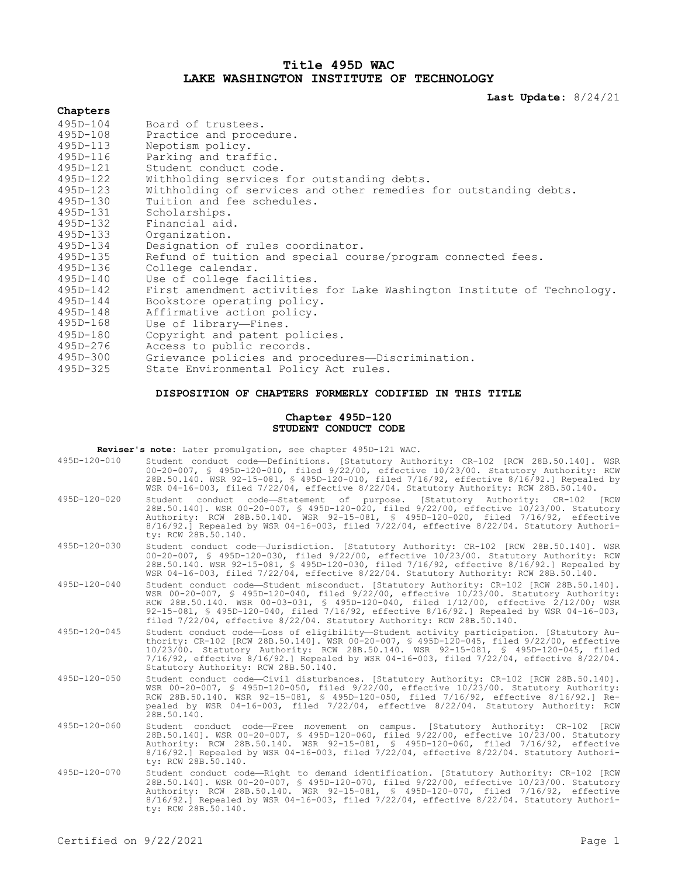## **Title 495D WAC LAKE WASHINGTON INSTITUTE OF TECHNOLOGY**

**Last Update:** 8/24/21

# **Chapters**

| 495D-104     | Board of trustees.                                                      |
|--------------|-------------------------------------------------------------------------|
| 495D-108     | Practice and procedure.                                                 |
| 495D-113     | Nepotism policy.                                                        |
| 495D-116     | Parking and traffic.                                                    |
| 495D-121     | Student conduct code.                                                   |
| 495D-122     | Withholding services for outstanding debts.                             |
| 495D-123     | Withholding of services and other remedies for outstanding debts.       |
| 495D-130     | Tuition and fee schedules.                                              |
| 495D-131     | Scholarships.                                                           |
| 495D-132     | Financial aid.                                                          |
| 495D-133     | Organization.                                                           |
| 495D-134     | Designation of rules coordinator.                                       |
| 495D-135     | Refund of tuition and special course/program connected fees.            |
| 495D-136     | College calendar.                                                       |
| 495D-140     | Use of college facilities.                                              |
| 495D-142     | First amendment activities for Lake Washington Institute of Technology. |
| $495D - 144$ | Bookstore operating policy.                                             |
| 495D-148     | Affirmative action policy.                                              |
| $495D - 168$ | Use of library-Fines.                                                   |
| 495D-180     | Copyright and patent policies.                                          |
| 495D-276     | Access to public records.                                               |
| $495D - 300$ | Grievance policies and procedures—Discrimination.                       |
| $495D - 325$ | State Environmental Policy Act rules                                    |

495D-325 State Environmental Policy Act rules.

### **DISPOSITION OF CHAPTERS FORMERLY CODIFIED IN THIS TITLE**

#### **Chapter 495D-120 STUDENT CONDUCT CODE**

**Reviser's note:** Later promulgation, see chapter 495D-121 WAC.

| 495D-120-010       | Student conduct code-Definitions. [Statutory Authority: CR-102 [RCW 28B.50.140]. WSR<br>00-20-007, § 495D-120-010, filed 9/22/00, effective 10/23/00. Statutory Authority: RCW<br>28B.50.140. WSR 92-15-081, § 495D-120-010, filed 7/16/92, effective 8/16/92.] Repealed by<br>WSR 04-16-003, filed 7/22/04, effective 8/22/04. Statutory Authority: RCW 28B.50.140.                                                                            |
|--------------------|-------------------------------------------------------------------------------------------------------------------------------------------------------------------------------------------------------------------------------------------------------------------------------------------------------------------------------------------------------------------------------------------------------------------------------------------------|
| $495D - 120 - 020$ | Student conduct code-Statement of purpose. [Statutory Authority: CR-102 [RCW<br>28B.50.140]. WSR 00-20-007, § 495D-120-020, filed 9/22/00, effective 10/23/00. Statutory<br>Authority: RCW 28B.50.140. WSR 92-15-081, § 495D-120-020, filed 7/16/92, effective<br>$8/16/92.$ Repealed by WSR 04-16-003, filed 7/22/04, effective $8/22/04$ . Statutory Authori-<br>ty: RCW 28B.50.140.                                                          |
| $495D - 120 - 030$ | Student conduct code-Jurisdiction. [Statutory Authority: CR-102 [RCW 28B.50.140]. WSR<br>00-20-007, § 495D-120-030, filed 9/22/00, effective 10/23/00. Statutory Authority: RCW<br>28B.50.140. WSR 92-15-081, § 495D-120-030, filed 7/16/92, effective 8/16/92.] Repealed by<br>WSR 04-16-003, filed 7/22/04, effective 8/22/04. Statutory Authority: RCW 28B.50.140.                                                                           |
| $495D - 120 - 040$ | Student conduct code-Student misconduct. [Statutory Authority: CR-102 [RCW 28B.50.140].<br>WSR 00-20-007, § 495D-120-040, filed 9/22/00, effective 10/23/00. Statutory Authority:<br>RCW 28B.50.140. WSR 00-03-031, § 495D-120-040, filed 1/12/00, effective 2/12/00; WSR<br>92-15-081, § 495D-120-040, filed 7/16/92, effective 8/16/92.] Repealed by WSR 04-16-003,<br>filed 7/22/04, effective 8/22/04. Statutory Authority: RCW 28B.50.140. |
| 495D-120-045       | Student conduct code-Loss of eligibility-Student activity participation. [Statutory Au-<br>thority: CR-102 [RCW 28B.50.140]. WSR 00-20-007, § 495D-120-045, filed 9/22/00, effective<br>10/23/00. Statutory Authority: RCW 28B.50.140. WSR 92-15-081, § 495D-120-045, filed<br>7/16/92, effective 8/16/92.] Repealed by WSR 04-16-003, filed 7/22/04, effective 8/22/04.<br>Statutory Authority: RCW 28B.50.140.                                |
| 495D-120-050       | Student conduct code-Civil disturbances. [Statutory Authority: CR-102 [RCW 28B.50.140].<br>WSR 00-20-007, § 495D-120-050, filed 9/22/00, effective 10/23/00. Statutory Authority:<br>RCW 28B.50.140. WSR 92-15-081, § 495D-120-050, filed 7/16/92, effective 8/16/92.1 Re-<br>pealed by WSR 04-16-003, filed 7/22/04, effective 8/22/04. Statutory Authority: RCW<br>28B.50.140.                                                                |
| 495D-120-060       | Student conduct code-Free movement on campus. [Statutory Authority: CR-102 [RCW<br>28B.50.140]. WSR 00-20-007, § 495D-120-060, filed 9/22/00, effective 10/23/00. Statutory<br>Authority: RCW 28B.50.140. WSR 92-15-081, § 495D-120-060, filed 7/16/92, effective<br>$8/16/92.1$ Repealed by WSR 04-16-003, filed 7/22/04, effective $8/22/04$ . Statutory Authori-<br>ty: RCW 28B.50.140.                                                      |
| 495D-120-070       | Student conduct code-Right to demand identification. [Statutory Authority: CR-102 [RCW<br>28B.50.140]. WSR 00-20-007, § 495D-120-070, filed 9/22/00, effective 10/23/00. Statutory<br>Authority: RCW 28B.50.140. WSR 92-15-081, § 495D-120-070, filed 7/16/92, effective<br>$8/16/92.$ Repealed by WSR 04-16-003, filed 7/22/04, effective $8/22/04$ . Statutory Authori-<br>ty: RCW 28B.50.140.                                                |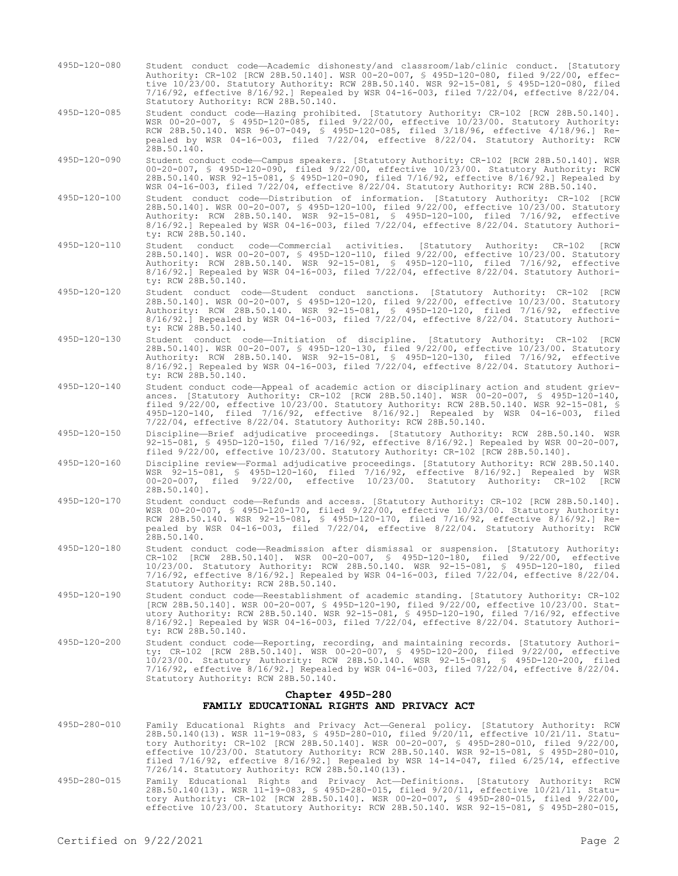495D-120-080 Student conduct code—Academic dishonesty/and classroom/lab/clinic conduct. [Statutory Authority: CR-102 [RCW 28B.50.140]. WSR 00-20-007, § 495D-120-080, filed 9/22/00, effective 10/23/00. Statutory Authority: RCW 28B.50.140. WSR 92-15-081, § 495D-120-080, filed 7/16/92, effective 8/16/92.] Repealed by WSR 04-16-003, filed 7/22/04, effective 8/22/04. Statutory Authority: RCW 28B.50.140.

495D-120-085 Student conduct code—Hazing prohibited. [Statutory Authority: CR-102 [RCW 28B.50.140]. WSR 00-20-007, § 495D-120-085, filed 9/22/00, effective 10/23/00. Statutory Authority: RCW 28B.50.140. WSR 96-07-049, § 495D-120-085, filed 3/18/96, effective 4/18/96.] Repealed by WSR 04-16-003, filed 7/22/04, effective 8/22/04. Statutory Authority: RCW 28B.50.140.

- 495D-120-090 Student conduct code—Campus speakers. [Statutory Authority: CR-102 [RCW 28B.50.140]. WSR 00-20-007, § 495D-120-090, filed 9/22/00, effective 10/23/00. Statutory Authority: RCW 28B.50.140. WSR 92-15-081, § 495D-120-090, filed 7/16/92, effective 8/16/92.] Repealed by WSR 04-16-003, filed 7/22/04, effective 8/22/04. Statutory Authority: RCW 28B.50.140.
- 495D-120-100 Student conduct code—Distribution of information. [Statutory Authority: CR-102 [RCW 28B.50.140]. WSR 00-20-007, § 495D-120-100, filed 9/22/00, effective 10/23/00. Statutory Authority: RCW 28B.50.140. WSR 92-15-081, § 495D-120-100, filed 7/16/92, effective 8/16/92.] Repealed by WSR 04-16-003, filed 7/22/04, effective 8/22/04. Statutory Authority: RCW 28B.50.140.
- 495D-120-110 Student conduct code—Commercial activities. [Statutory Authority: CR-102 [RCW 28B.50.140]. WSR 00-20-007, § 495D-120-110, filed 9/22/00, effective 10/23/00. Statutory Authority: RCW 28B.50.140. WSR 92-15-081, § 495D-120-110, filed 7/16/92, effective 8/16/92.] Repealed by WSR 04-16-003, filed 7/22/04, effective 8/22/04. Statutory Authority: RCW 28B.50.140.
- 495D-120-120 Student conduct code—Student conduct sanctions. [Statutory Authority: CR-102 [RCW 28B.50.140]. WSR 00-20-007, § 495D-120-120, filed 9/22/00, effective 10/23/00. Statutory Authority: RCW 28B.50.140. WSR 92-15-081, § 495D-120-120, filed 7/16/92, effective 8/16/92.] Repealed by WSR 04-16-003, filed 7/22/04, effective 8/22/04. Statutory Authority: RCW 28B.50.140.
- 495D-120-130 Student conduct code—Initiation of discipline. [Statutory Authority: CR-102 [RCW 28B.50.140]. WSR 00-20-007, § 495D-120-130, filed 9/22/00, effective 10/23/00. Statutory Authority: RCW 28B.50.140. WSR 92-15-081, § 495D-120-130, filed 7/16/92, effective 8/16/92.] Repealed by WSR 04-16-003, filed 7/22/04, effective 8/22/04. Statutory Authority: RCW 28B.50.140.
- 495D-120-140 Student conduct code—Appeal of academic action or disciplinary action and student grievances. [Statutory Authority: CR-102 [RCW 28B.50.140]. WSR 00-20-007, § 495D-120-140, filed 9/22/00, effective 10/23/00. Statutory Authority: RCW 28B.50.140. WSR 92-15-081, § 495D-120-140, filed 7/16/92, effective 8/16/92.] Repealed by WSR 04-16-003, filed 7/22/04, effective 8/22/04. Statutory Authority: RCW 28B.50.140.
- 495D-120-150 Discipline—Brief adjudicative proceedings. [Statutory Authority: RCW 28B.50.140. WSR 92-15-081, § 495D-120-150, filed 7/16/92, effective 8/16/92.] Repealed by WSR 00-20-007, filed 9/22/00, effective 10/23/00. Statutory Authority: CR-102 [RCW 28B.50.140].
- 495D-120-160 Discipline review—Formal adjudicative proceedings. [Statutory Authority: RCW 28B.50.140. WSR 92-15-081, § 495D-120-160, filed 7/16/92, effective 8/16/92.] Repealed by WSR 00-20-007, filed 9/22/00, effective 10/23/00. Statutory Authority: CR-102 [RCW 28B.50.140].
- 495D-120-170 Student conduct code—Refunds and access. [Statutory Authority: CR-102 [RCW 28B.50.140]. WSR 00-20-007, § 495D-120-170, filed 9/22/00, effective 10/23/00. Statutory Authority: RCW 28B.50.140. WSR 92-15-081, § 495D-120-170, filed 7/16/92, effective 8/16/92.] Repealed by WSR 04-16-003, filed 7/22/04, effective 8/22/04. Statutory Authority: RCW 28B.50.140.
- 495D-120-180 Student conduct code—Readmission after dismissal or suspension. [Statutory Authority: CR-102 [RCW 28B.50.140]. WSR 00-20-007, § 495D-120-180, filed 9/22/00, effective 10/23/00. Statutory Authority: RCW 28B.50.140. WSR 92-15-081, § 495D-120-180, filed 7/16/92, effective 8/16/92.] Repealed by WSR 04-16-003, filed 7/22/04, effective 8/22/04. Statutory Authority: RCW 28B.50.140.
- 495D-120-190 Student conduct code—Reestablishment of academic standing. [Statutory Authority: CR-102 [RCW 28B.50.140]. WSR 00-20-007, § 495D-120-190, filed 9/22/00, effective 10/23/00. Statutory Authority: RCW 28B.50.140. WSR 92-15-081, § 495D-120-190, filed 7/16/92, effective 8/16/92.] Repealed by WSR 04-16-003, filed 7/22/04, effective 8/22/04. Statutory Authority: RCW 28B.50.140.
- 495D-120-200 Student conduct code—Reporting, recording, and maintaining records. [Statutory Authority: CR-102 [RCW 28B.50.140]. WSR 00-20-007, § 495D-120-200, filed 9/22/00, effective 10/23/00. Statutory Authority: RCW 28B.50.140. WSR 92-15-081, § 495D-120-200, filed 7/16/92, effective 8/16/92.] Repealed by WSR 04-16-003, filed 7/22/04, effective 8/22/04. Statutory Authority: RCW 28B.50.140.

### **Chapter 495D-280 FAMILY EDUCATIONAL RIGHTS AND PRIVACY ACT**

- 495D-280-010 Family Educational Rights and Privacy Act—General policy. [Statutory Authority: RCW<br>28B.50.140(13). WSR 11-19-083, § 495D-280-010, filed 9/20/11, effective 10/21/11. Statu-<br>tory Authority: CR-102 [RCW 28B.50.1 effective 10/23/00. Statutory Authority: RCW 28B.50.140. WSR 92-15-081, § 495D-280-010, filed 7/16/92, effective 8/16/92.] Repealed by WSR 14-14-047, filed 6/25/14, effective 7/26/14. Statutory Authority: RCW 28B.50.140(13).
- 495D-280-015 Family Educational Rights and Privacy Act—Definitions. [Statutory Authority: RCW 28B.50.140(13). WSR 11-19-083, § 495D-280-015, filed 9/20/11, effective 10/21/11. Statutory Authority: CR-102 [RCW 28B.50.140]. WSR 00-20-007, § 495D-280-015, filed 9/22/00, effective 10/23/00. Statutory Authority: RCW 28B.50.140. WSR 92-15-081, § 495D-280-015,